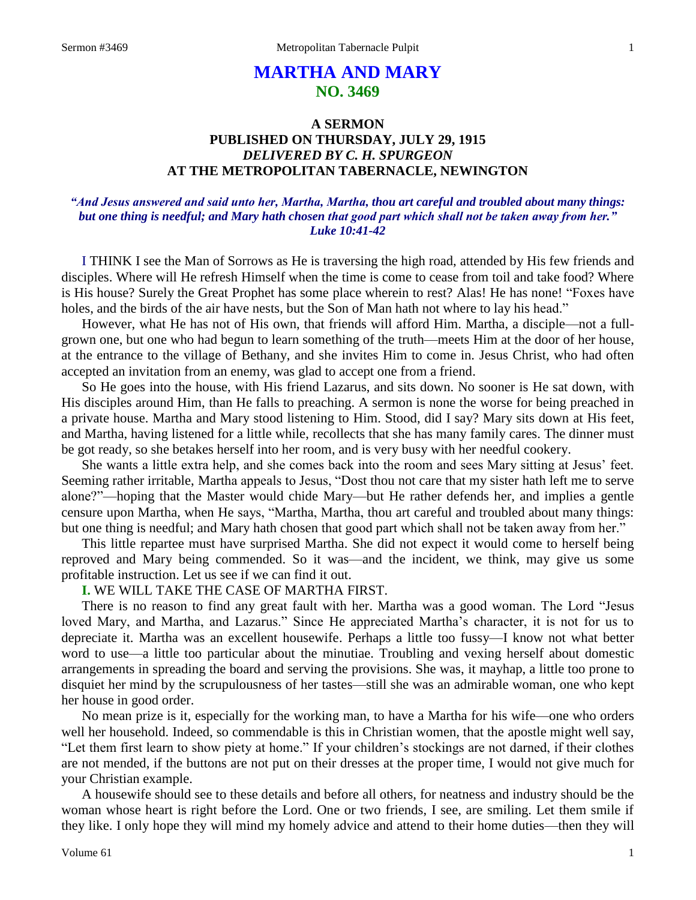# **MARTHA AND MARY NO. 3469**

# **A SERMON PUBLISHED ON THURSDAY, JULY 29, 1915** *DELIVERED BY C. H. SPURGEON* **AT THE METROPOLITAN TABERNACLE, NEWINGTON**

# *"And Jesus answered and said unto her, Martha, Martha, thou art careful and troubled about many things: but one thing is needful; and Mary hath chosen that good part which shall not be taken away from her." Luke 10:41-42*

I THINK I see the Man of Sorrows as He is traversing the high road, attended by His few friends and disciples. Where will He refresh Himself when the time is come to cease from toil and take food? Where is His house? Surely the Great Prophet has some place wherein to rest? Alas! He has none! "Foxes have holes, and the birds of the air have nests, but the Son of Man hath not where to lay his head."

However, what He has not of His own, that friends will afford Him. Martha, a disciple—not a fullgrown one, but one who had begun to learn something of the truth—meets Him at the door of her house, at the entrance to the village of Bethany, and she invites Him to come in. Jesus Christ, who had often accepted an invitation from an enemy, was glad to accept one from a friend.

So He goes into the house, with His friend Lazarus, and sits down. No sooner is He sat down, with His disciples around Him, than He falls to preaching. A sermon is none the worse for being preached in a private house. Martha and Mary stood listening to Him. Stood, did I say? Mary sits down at His feet, and Martha, having listened for a little while, recollects that she has many family cares. The dinner must be got ready, so she betakes herself into her room, and is very busy with her needful cookery.

She wants a little extra help, and she comes back into the room and sees Mary sitting at Jesus' feet. Seeming rather irritable, Martha appeals to Jesus, "Dost thou not care that my sister hath left me to serve alone?"—hoping that the Master would chide Mary—but He rather defends her, and implies a gentle censure upon Martha, when He says, "Martha, Martha, thou art careful and troubled about many things: but one thing is needful; and Mary hath chosen that good part which shall not be taken away from her."

This little repartee must have surprised Martha. She did not expect it would come to herself being reproved and Mary being commended. So it was—and the incident, we think, may give us some profitable instruction. Let us see if we can find it out.

# **I.** WE WILL TAKE THE CASE OF MARTHA FIRST.

There is no reason to find any great fault with her. Martha was a good woman. The Lord "Jesus loved Mary, and Martha, and Lazarus." Since He appreciated Martha's character, it is not for us to depreciate it. Martha was an excellent housewife. Perhaps a little too fussy—I know not what better word to use—a little too particular about the minutiae. Troubling and vexing herself about domestic arrangements in spreading the board and serving the provisions. She was, it mayhap, a little too prone to disquiet her mind by the scrupulousness of her tastes—still she was an admirable woman, one who kept her house in good order.

No mean prize is it, especially for the working man, to have a Martha for his wife—one who orders well her household. Indeed, so commendable is this in Christian women, that the apostle might well say, "Let them first learn to show piety at home." If your children's stockings are not darned, if their clothes are not mended, if the buttons are not put on their dresses at the proper time, I would not give much for your Christian example.

A housewife should see to these details and before all others, for neatness and industry should be the woman whose heart is right before the Lord. One or two friends, I see, are smiling. Let them smile if they like. I only hope they will mind my homely advice and attend to their home duties—then they will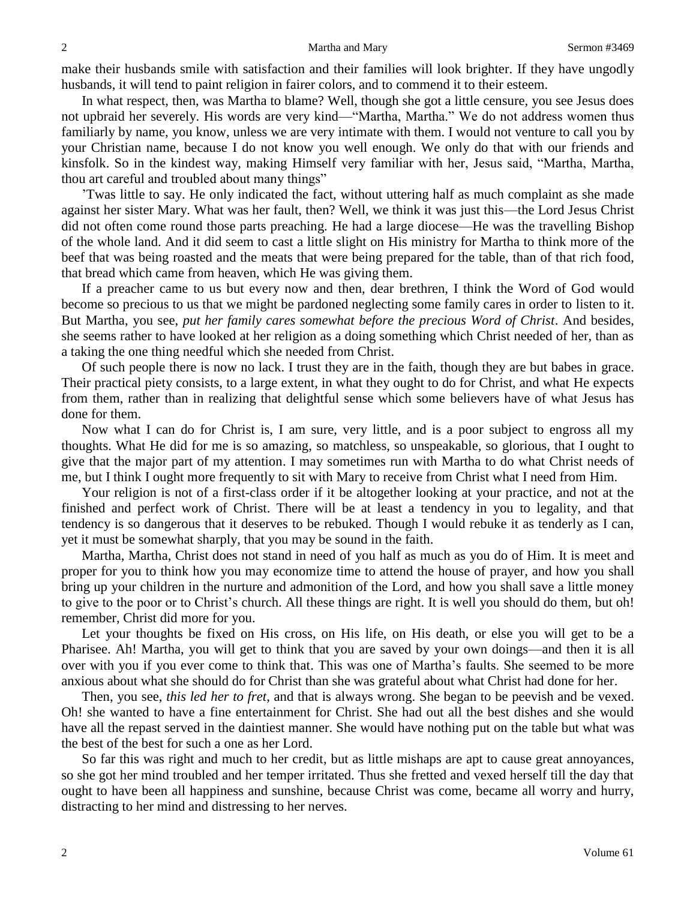make their husbands smile with satisfaction and their families will look brighter. If they have ungodly husbands, it will tend to paint religion in fairer colors, and to commend it to their esteem.

In what respect, then, was Martha to blame? Well, though she got a little censure, you see Jesus does not upbraid her severely. His words are very kind—"Martha, Martha." We do not address women thus familiarly by name, you know, unless we are very intimate with them. I would not venture to call you by your Christian name, because I do not know you well enough. We only do that with our friends and kinsfolk. So in the kindest way, making Himself very familiar with her, Jesus said, "Martha, Martha, thou art careful and troubled about many things"

'Twas little to say. He only indicated the fact, without uttering half as much complaint as she made against her sister Mary. What was her fault, then? Well, we think it was just this—the Lord Jesus Christ did not often come round those parts preaching. He had a large diocese—He was the travelling Bishop of the whole land. And it did seem to cast a little slight on His ministry for Martha to think more of the beef that was being roasted and the meats that were being prepared for the table, than of that rich food, that bread which came from heaven, which He was giving them.

If a preacher came to us but every now and then, dear brethren, I think the Word of God would become so precious to us that we might be pardoned neglecting some family cares in order to listen to it. But Martha, you see, *put her family cares somewhat before the precious Word of Christ*. And besides, she seems rather to have looked at her religion as a doing something which Christ needed of her, than as a taking the one thing needful which she needed from Christ.

Of such people there is now no lack. I trust they are in the faith, though they are but babes in grace. Their practical piety consists, to a large extent, in what they ought to do for Christ, and what He expects from them, rather than in realizing that delightful sense which some believers have of what Jesus has done for them.

Now what I can do for Christ is, I am sure, very little, and is a poor subject to engross all my thoughts. What He did for me is so amazing, so matchless, so unspeakable, so glorious, that I ought to give that the major part of my attention. I may sometimes run with Martha to do what Christ needs of me, but I think I ought more frequently to sit with Mary to receive from Christ what I need from Him.

Your religion is not of a first-class order if it be altogether looking at your practice, and not at the finished and perfect work of Christ. There will be at least a tendency in you to legality, and that tendency is so dangerous that it deserves to be rebuked. Though I would rebuke it as tenderly as I can, yet it must be somewhat sharply, that you may be sound in the faith.

Martha, Martha, Christ does not stand in need of you half as much as you do of Him. It is meet and proper for you to think how you may economize time to attend the house of prayer, and how you shall bring up your children in the nurture and admonition of the Lord, and how you shall save a little money to give to the poor or to Christ's church. All these things are right. It is well you should do them, but oh! remember, Christ did more for you.

Let your thoughts be fixed on His cross, on His life, on His death, or else you will get to be a Pharisee. Ah! Martha, you will get to think that you are saved by your own doings—and then it is all over with you if you ever come to think that. This was one of Martha's faults. She seemed to be more anxious about what she should do for Christ than she was grateful about what Christ had done for her.

Then, you see, *this led her to fret*, and that is always wrong. She began to be peevish and be vexed. Oh! she wanted to have a fine entertainment for Christ. She had out all the best dishes and she would have all the repast served in the daintiest manner. She would have nothing put on the table but what was the best of the best for such a one as her Lord.

So far this was right and much to her credit, but as little mishaps are apt to cause great annoyances, so she got her mind troubled and her temper irritated. Thus she fretted and vexed herself till the day that ought to have been all happiness and sunshine, because Christ was come, became all worry and hurry, distracting to her mind and distressing to her nerves.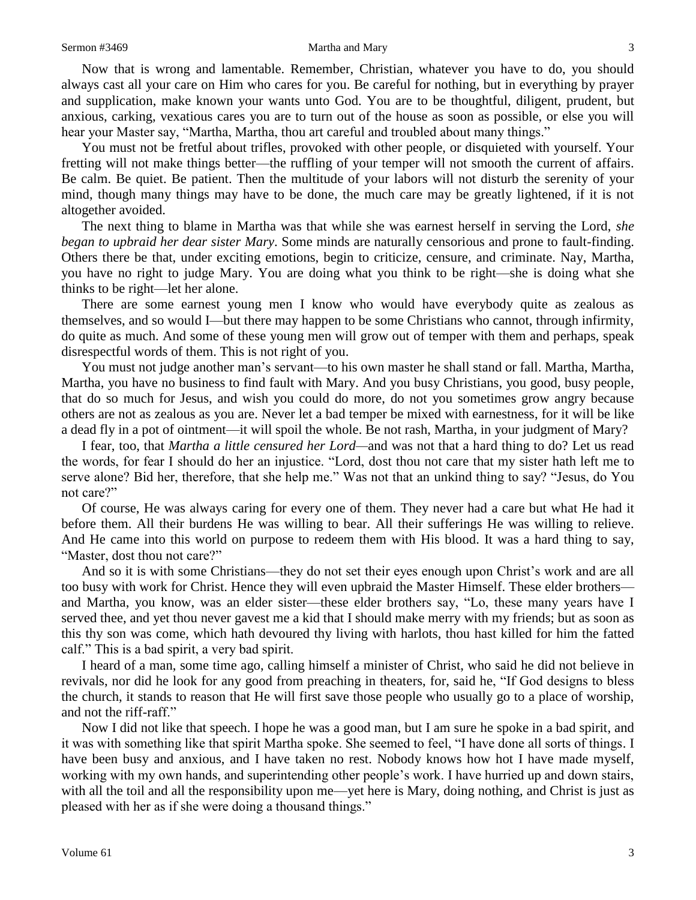Now that is wrong and lamentable. Remember, Christian, whatever you have to do, you should always cast all your care on Him who cares for you. Be careful for nothing, but in everything by prayer and supplication, make known your wants unto God. You are to be thoughtful, diligent, prudent, but anxious, carking, vexatious cares you are to turn out of the house as soon as possible, or else you will hear your Master say, "Martha, Martha, thou art careful and troubled about many things."

You must not be fretful about trifles, provoked with other people, or disquieted with yourself. Your fretting will not make things better—the ruffling of your temper will not smooth the current of affairs. Be calm. Be quiet. Be patient. Then the multitude of your labors will not disturb the serenity of your mind, though many things may have to be done, the much care may be greatly lightened, if it is not altogether avoided.

The next thing to blame in Martha was that while she was earnest herself in serving the Lord, *she began to upbraid her dear sister Mary*. Some minds are naturally censorious and prone to fault-finding. Others there be that, under exciting emotions, begin to criticize, censure, and criminate. Nay, Martha, you have no right to judge Mary. You are doing what you think to be right—she is doing what she thinks to be right—let her alone.

There are some earnest young men I know who would have everybody quite as zealous as themselves, and so would I—but there may happen to be some Christians who cannot, through infirmity, do quite as much. And some of these young men will grow out of temper with them and perhaps, speak disrespectful words of them. This is not right of you.

You must not judge another man's servant—to his own master he shall stand or fall. Martha, Martha, Martha, you have no business to find fault with Mary. And you busy Christians, you good, busy people, that do so much for Jesus, and wish you could do more, do not you sometimes grow angry because others are not as zealous as you are. Never let a bad temper be mixed with earnestness, for it will be like a dead fly in a pot of ointment—it will spoil the whole. Be not rash, Martha, in your judgment of Mary?

I fear, too, that *Martha a little censured her Lord—*and was not that a hard thing to do? Let us read the words, for fear I should do her an injustice. "Lord, dost thou not care that my sister hath left me to serve alone? Bid her, therefore, that she help me." Was not that an unkind thing to say? "Jesus, do You not care?"

Of course, He was always caring for every one of them. They never had a care but what He had it before them. All their burdens He was willing to bear. All their sufferings He was willing to relieve. And He came into this world on purpose to redeem them with His blood. It was a hard thing to say, "Master, dost thou not care?"

And so it is with some Christians—they do not set their eyes enough upon Christ's work and are all too busy with work for Christ. Hence they will even upbraid the Master Himself. These elder brothers and Martha, you know, was an elder sister—these elder brothers say, "Lo, these many years have I served thee, and yet thou never gavest me a kid that I should make merry with my friends; but as soon as this thy son was come, which hath devoured thy living with harlots, thou hast killed for him the fatted calf." This is a bad spirit, a very bad spirit.

I heard of a man, some time ago, calling himself a minister of Christ, who said he did not believe in revivals, nor did he look for any good from preaching in theaters, for, said he, "If God designs to bless the church, it stands to reason that He will first save those people who usually go to a place of worship, and not the riff-raff."

Now I did not like that speech. I hope he was a good man, but I am sure he spoke in a bad spirit, and it was with something like that spirit Martha spoke. She seemed to feel, "I have done all sorts of things. I have been busy and anxious, and I have taken no rest. Nobody knows how hot I have made myself, working with my own hands, and superintending other people's work. I have hurried up and down stairs, with all the toil and all the responsibility upon me—yet here is Mary, doing nothing, and Christ is just as pleased with her as if she were doing a thousand things."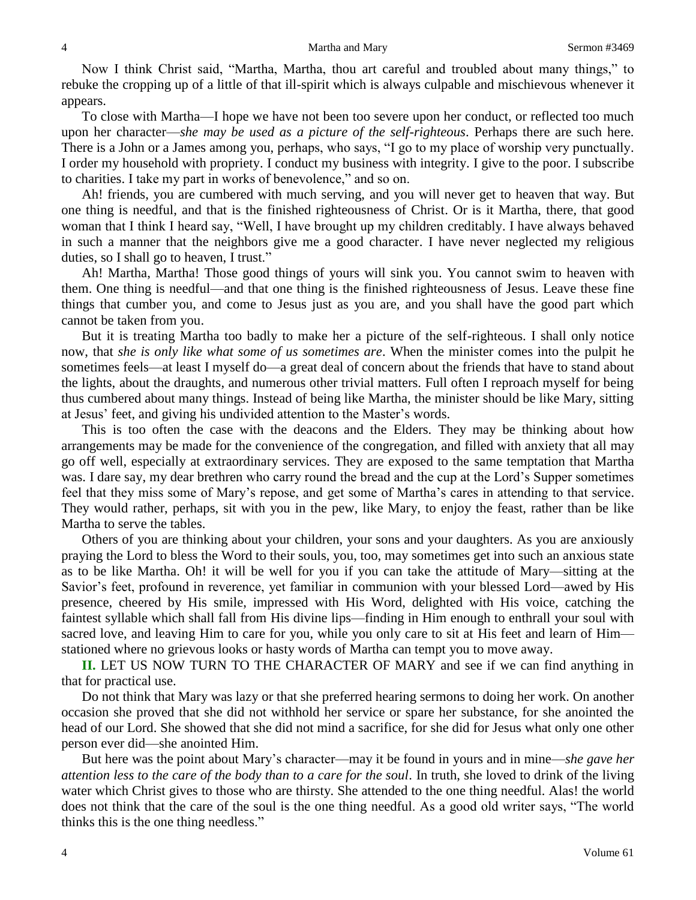#### 4 Martha and Mary Sermon #3469

Now I think Christ said, "Martha, Martha, thou art careful and troubled about many things," to rebuke the cropping up of a little of that ill-spirit which is always culpable and mischievous whenever it appears.

To close with Martha—I hope we have not been too severe upon her conduct, or reflected too much upon her character—*she may be used as a picture of the self-righteous*. Perhaps there are such here. There is a John or a James among you, perhaps, who says, "I go to my place of worship very punctually. I order my household with propriety. I conduct my business with integrity. I give to the poor. I subscribe to charities. I take my part in works of benevolence," and so on.

Ah! friends, you are cumbered with much serving, and you will never get to heaven that way. But one thing is needful, and that is the finished righteousness of Christ. Or is it Martha, there, that good woman that I think I heard say, "Well, I have brought up my children creditably. I have always behaved in such a manner that the neighbors give me a good character. I have never neglected my religious duties, so I shall go to heaven, I trust."

Ah! Martha, Martha! Those good things of yours will sink you. You cannot swim to heaven with them. One thing is needful—and that one thing is the finished righteousness of Jesus. Leave these fine things that cumber you, and come to Jesus just as you are, and you shall have the good part which cannot be taken from you.

But it is treating Martha too badly to make her a picture of the self-righteous. I shall only notice now, that *she is only like what some of us sometimes are*. When the minister comes into the pulpit he sometimes feels—at least I myself do—a great deal of concern about the friends that have to stand about the lights, about the draughts, and numerous other trivial matters. Full often I reproach myself for being thus cumbered about many things. Instead of being like Martha, the minister should be like Mary, sitting at Jesus' feet, and giving his undivided attention to the Master's words.

This is too often the case with the deacons and the Elders. They may be thinking about how arrangements may be made for the convenience of the congregation, and filled with anxiety that all may go off well, especially at extraordinary services. They are exposed to the same temptation that Martha was. I dare say, my dear brethren who carry round the bread and the cup at the Lord's Supper sometimes feel that they miss some of Mary's repose, and get some of Martha's cares in attending to that service. They would rather, perhaps, sit with you in the pew, like Mary, to enjoy the feast, rather than be like Martha to serve the tables.

Others of you are thinking about your children, your sons and your daughters. As you are anxiously praying the Lord to bless the Word to their souls, you, too, may sometimes get into such an anxious state as to be like Martha. Oh! it will be well for you if you can take the attitude of Mary—sitting at the Savior's feet, profound in reverence, yet familiar in communion with your blessed Lord—awed by His presence, cheered by His smile, impressed with His Word, delighted with His voice, catching the faintest syllable which shall fall from His divine lips—finding in Him enough to enthrall your soul with sacred love, and leaving Him to care for you, while you only care to sit at His feet and learn of Him stationed where no grievous looks or hasty words of Martha can tempt you to move away.

**II.** LET US NOW TURN TO THE CHARACTER OF MARY and see if we can find anything in that for practical use.

Do not think that Mary was lazy or that she preferred hearing sermons to doing her work. On another occasion she proved that she did not withhold her service or spare her substance, for she anointed the head of our Lord. She showed that she did not mind a sacrifice, for she did for Jesus what only one other person ever did—she anointed Him.

But here was the point about Mary's character—may it be found in yours and in mine—*she gave her attention less to the care of the body than to a care for the soul*. In truth, she loved to drink of the living water which Christ gives to those who are thirsty. She attended to the one thing needful. Alas! the world does not think that the care of the soul is the one thing needful. As a good old writer says, "The world thinks this is the one thing needless."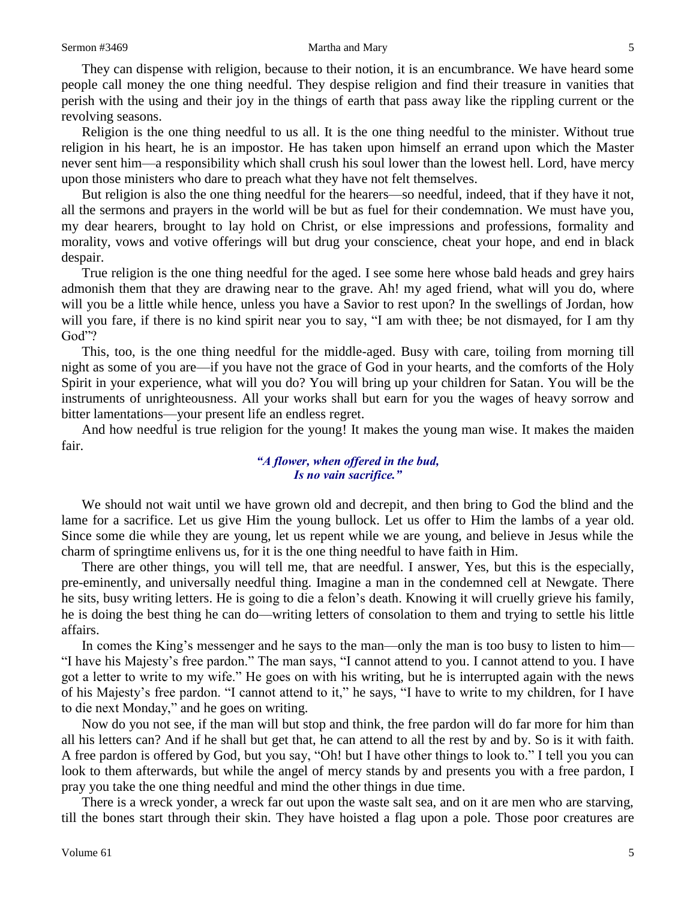#### Sermon #3469 Martha and Mary 5

They can dispense with religion, because to their notion, it is an encumbrance. We have heard some people call money the one thing needful. They despise religion and find their treasure in vanities that perish with the using and their joy in the things of earth that pass away like the rippling current or the revolving seasons.

Religion is the one thing needful to us all. It is the one thing needful to the minister. Without true religion in his heart, he is an impostor. He has taken upon himself an errand upon which the Master never sent him—a responsibility which shall crush his soul lower than the lowest hell. Lord, have mercy upon those ministers who dare to preach what they have not felt themselves.

But religion is also the one thing needful for the hearers—so needful, indeed, that if they have it not, all the sermons and prayers in the world will be but as fuel for their condemnation. We must have you, my dear hearers, brought to lay hold on Christ, or else impressions and professions, formality and morality, vows and votive offerings will but drug your conscience, cheat your hope, and end in black despair.

True religion is the one thing needful for the aged. I see some here whose bald heads and grey hairs admonish them that they are drawing near to the grave. Ah! my aged friend, what will you do, where will you be a little while hence, unless you have a Savior to rest upon? In the swellings of Jordan, how will you fare, if there is no kind spirit near you to say, "I am with thee; be not dismayed, for I am thy God"?

This, too, is the one thing needful for the middle-aged. Busy with care, toiling from morning till night as some of you are—if you have not the grace of God in your hearts, and the comforts of the Holy Spirit in your experience, what will you do? You will bring up your children for Satan. You will be the instruments of unrighteousness. All your works shall but earn for you the wages of heavy sorrow and bitter lamentations—your present life an endless regret.

And how needful is true religion for the young! It makes the young man wise. It makes the maiden fair.

# *"A flower, when offered in the bud, Is no vain sacrifice."*

We should not wait until we have grown old and decrepit, and then bring to God the blind and the lame for a sacrifice. Let us give Him the young bullock. Let us offer to Him the lambs of a year old. Since some die while they are young, let us repent while we are young, and believe in Jesus while the charm of springtime enlivens us, for it is the one thing needful to have faith in Him.

There are other things, you will tell me, that are needful. I answer, Yes, but this is the especially, pre-eminently, and universally needful thing. Imagine a man in the condemned cell at Newgate. There he sits, busy writing letters. He is going to die a felon's death. Knowing it will cruelly grieve his family, he is doing the best thing he can do—writing letters of consolation to them and trying to settle his little affairs.

In comes the King's messenger and he says to the man—only the man is too busy to listen to him— "I have his Majesty's free pardon." The man says, "I cannot attend to you. I cannot attend to you. I have got a letter to write to my wife." He goes on with his writing, but he is interrupted again with the news of his Majesty's free pardon. "I cannot attend to it," he says, "I have to write to my children, for I have to die next Monday," and he goes on writing.

Now do you not see, if the man will but stop and think, the free pardon will do far more for him than all his letters can? And if he shall but get that, he can attend to all the rest by and by. So is it with faith. A free pardon is offered by God, but you say, "Oh! but I have other things to look to." I tell you you can look to them afterwards, but while the angel of mercy stands by and presents you with a free pardon, I pray you take the one thing needful and mind the other things in due time.

There is a wreck yonder, a wreck far out upon the waste salt sea, and on it are men who are starving, till the bones start through their skin. They have hoisted a flag upon a pole. Those poor creatures are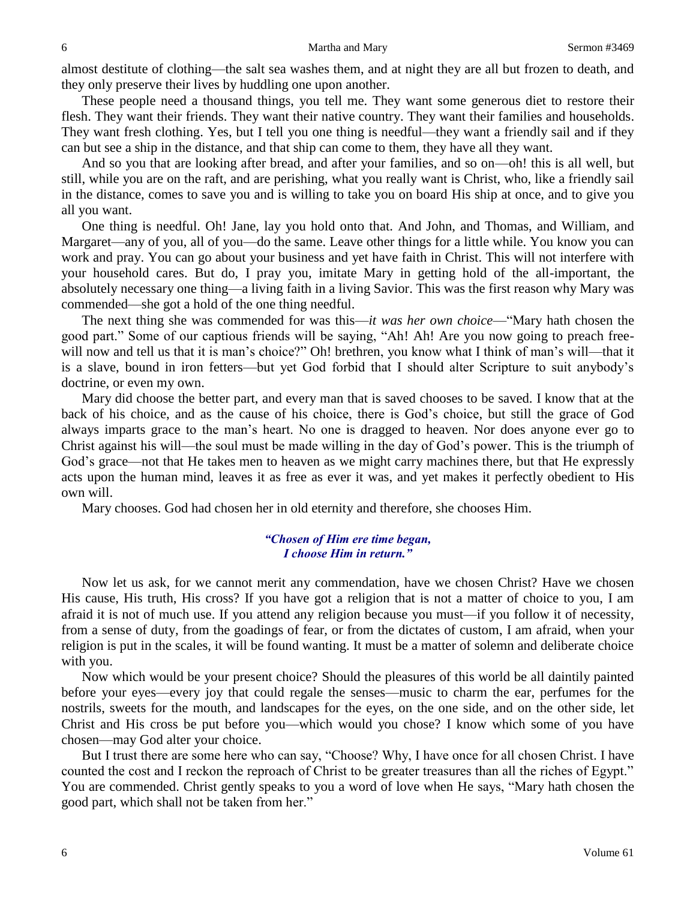almost destitute of clothing—the salt sea washes them, and at night they are all but frozen to death, and they only preserve their lives by huddling one upon another.

These people need a thousand things, you tell me. They want some generous diet to restore their flesh. They want their friends. They want their native country. They want their families and households. They want fresh clothing. Yes, but I tell you one thing is needful—they want a friendly sail and if they can but see a ship in the distance, and that ship can come to them, they have all they want.

And so you that are looking after bread, and after your families, and so on—oh! this is all well, but still, while you are on the raft, and are perishing, what you really want is Christ, who, like a friendly sail in the distance, comes to save you and is willing to take you on board His ship at once, and to give you all you want.

One thing is needful. Oh! Jane, lay you hold onto that. And John, and Thomas, and William, and Margaret—any of you, all of you—do the same. Leave other things for a little while. You know you can work and pray. You can go about your business and yet have faith in Christ. This will not interfere with your household cares. But do, I pray you, imitate Mary in getting hold of the all-important, the absolutely necessary one thing—a living faith in a living Savior. This was the first reason why Mary was commended—she got a hold of the one thing needful.

The next thing she was commended for was this—*it was her own choice*—"Mary hath chosen the good part." Some of our captious friends will be saying, "Ah! Ah! Are you now going to preach freewill now and tell us that it is man's choice?" Oh! brethren, you know what I think of man's will—that it is a slave, bound in iron fetters—but yet God forbid that I should alter Scripture to suit anybody's doctrine, or even my own.

Mary did choose the better part, and every man that is saved chooses to be saved. I know that at the back of his choice, and as the cause of his choice, there is God's choice, but still the grace of God always imparts grace to the man's heart. No one is dragged to heaven. Nor does anyone ever go to Christ against his will—the soul must be made willing in the day of God's power. This is the triumph of God's grace—not that He takes men to heaven as we might carry machines there, but that He expressly acts upon the human mind, leaves it as free as ever it was, and yet makes it perfectly obedient to His own will.

Mary chooses. God had chosen her in old eternity and therefore, she chooses Him.

# *"Chosen of Him ere time began, I choose Him in return."*

Now let us ask, for we cannot merit any commendation, have we chosen Christ? Have we chosen His cause, His truth, His cross? If you have got a religion that is not a matter of choice to you, I am afraid it is not of much use. If you attend any religion because you must—if you follow it of necessity, from a sense of duty, from the goadings of fear, or from the dictates of custom, I am afraid, when your religion is put in the scales, it will be found wanting. It must be a matter of solemn and deliberate choice with you.

Now which would be your present choice? Should the pleasures of this world be all daintily painted before your eyes—every joy that could regale the senses—music to charm the ear, perfumes for the nostrils, sweets for the mouth, and landscapes for the eyes, on the one side, and on the other side, let Christ and His cross be put before you—which would you chose? I know which some of you have chosen—may God alter your choice.

But I trust there are some here who can say, "Choose? Why, I have once for all chosen Christ. I have counted the cost and I reckon the reproach of Christ to be greater treasures than all the riches of Egypt." You are commended. Christ gently speaks to you a word of love when He says, "Mary hath chosen the good part, which shall not be taken from her."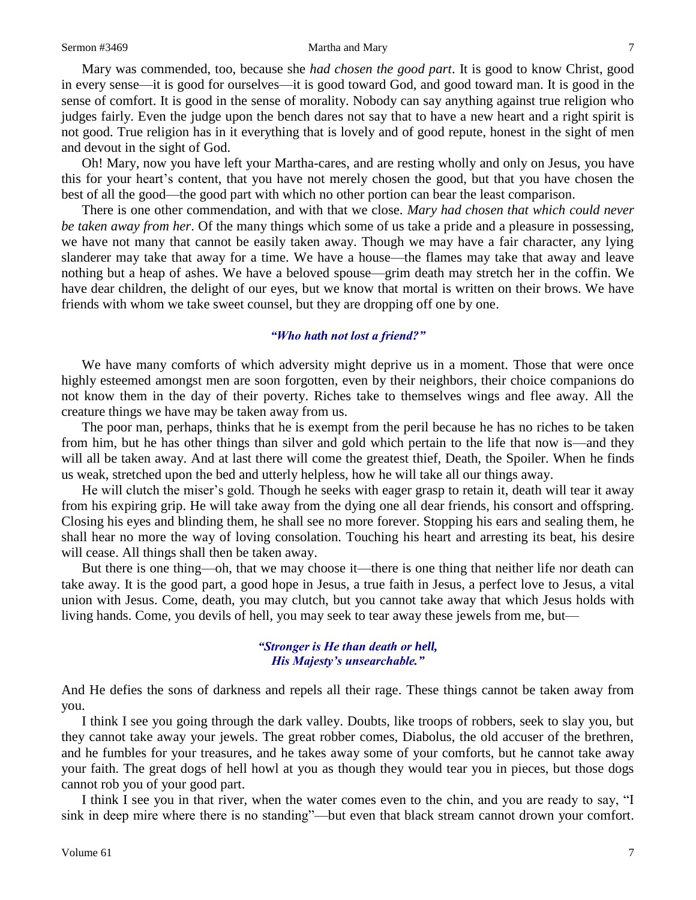### Sermon #3469 Martha and Mary 7 Martha and Mary 7 7 Martha and Mary 7 7 7 20 Martha and Mary 7 7 20 Martha and Mary 7 7 20 Martha and Mary 7 20 Martha and Mary 7 20 Martha and Mary 7 20 Martha and Mary 7 20 Martha and Mary

Mary was commended, too, because she *had chosen the good part*. It is good to know Christ, good in every sense—it is good for ourselves—it is good toward God, and good toward man. It is good in the sense of comfort. It is good in the sense of morality. Nobody can say anything against true religion who judges fairly. Even the judge upon the bench dares not say that to have a new heart and a right spirit is not good. True religion has in it everything that is lovely and of good repute, honest in the sight of men and devout in the sight of God.

Oh! Mary, now you have left your Martha-cares, and are resting wholly and only on Jesus, you have this for your heart's content, that you have not merely chosen the good, but that you have chosen the best of all the good—the good part with which no other portion can bear the least comparison.

There is one other commendation, and with that we close. *Mary had chosen that which could never be taken away from her*. Of the many things which some of us take a pride and a pleasure in possessing, we have not many that cannot be easily taken away. Though we may have a fair character, any lying slanderer may take that away for a time. We have a house—the flames may take that away and leave nothing but a heap of ashes. We have a beloved spouse—grim death may stretch her in the coffin. We have dear children, the delight of our eyes, but we know that mortal is written on their brows. We have friends with whom we take sweet counsel, but they are dropping off one by one.

## *"Who hath not lost a friend?"*

We have many comforts of which adversity might deprive us in a moment. Those that were once highly esteemed amongst men are soon forgotten, even by their neighbors, their choice companions do not know them in the day of their poverty. Riches take to themselves wings and flee away. All the creature things we have may be taken away from us.

The poor man, perhaps, thinks that he is exempt from the peril because he has no riches to be taken from him, but he has other things than silver and gold which pertain to the life that now is—and they will all be taken away. And at last there will come the greatest thief, Death, the Spoiler. When he finds us weak, stretched upon the bed and utterly helpless, how he will take all our things away.

He will clutch the miser's gold. Though he seeks with eager grasp to retain it, death will tear it away from his expiring grip. He will take away from the dying one all dear friends, his consort and offspring. Closing his eyes and blinding them, he shall see no more forever. Stopping his ears and sealing them, he shall hear no more the way of loving consolation. Touching his heart and arresting its beat, his desire will cease. All things shall then be taken away.

But there is one thing—oh, that we may choose it—there is one thing that neither life nor death can take away. It is the good part, a good hope in Jesus, a true faith in Jesus, a perfect love to Jesus, a vital union with Jesus. Come, death, you may clutch, but you cannot take away that which Jesus holds with living hands. Come, you devils of hell, you may seek to tear away these jewels from me, but—

# *"Stronger is He than death or hell, His Majesty's unsearchable."*

And He defies the sons of darkness and repels all their rage. These things cannot be taken away from you.

I think I see you going through the dark valley. Doubts, like troops of robbers, seek to slay you, but they cannot take away your jewels. The great robber comes, Diabolus, the old accuser of the brethren, and he fumbles for your treasures, and he takes away some of your comforts, but he cannot take away your faith. The great dogs of hell howl at you as though they would tear you in pieces, but those dogs cannot rob you of your good part.

I think I see you in that river, when the water comes even to the chin, and you are ready to say, "I sink in deep mire where there is no standing"—but even that black stream cannot drown your comfort.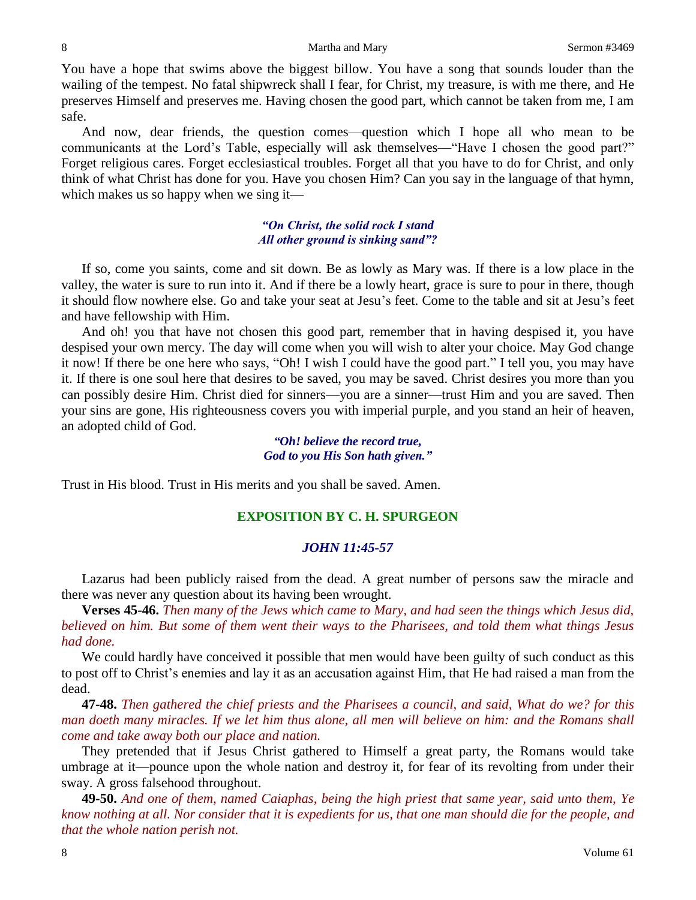### 8 Martha and Mary Sermon #3469

You have a hope that swims above the biggest billow. You have a song that sounds louder than the wailing of the tempest. No fatal shipwreck shall I fear, for Christ, my treasure, is with me there, and He preserves Himself and preserves me. Having chosen the good part, which cannot be taken from me, I am safe.

And now, dear friends, the question comes—question which I hope all who mean to be communicants at the Lord's Table, especially will ask themselves—"Have I chosen the good part?" Forget religious cares. Forget ecclesiastical troubles. Forget all that you have to do for Christ, and only think of what Christ has done for you. Have you chosen Him? Can you say in the language of that hymn, which makes us so happy when we sing it—

# *"On Christ, the solid rock I stand All other ground is sinking sand"?*

If so, come you saints, come and sit down. Be as lowly as Mary was. If there is a low place in the valley, the water is sure to run into it. And if there be a lowly heart, grace is sure to pour in there, though it should flow nowhere else. Go and take your seat at Jesu's feet. Come to the table and sit at Jesu's feet and have fellowship with Him.

And oh! you that have not chosen this good part, remember that in having despised it, you have despised your own mercy. The day will come when you will wish to alter your choice. May God change it now! If there be one here who says, "Oh! I wish I could have the good part." I tell you, you may have it. If there is one soul here that desires to be saved, you may be saved. Christ desires you more than you can possibly desire Him. Christ died for sinners—you are a sinner—trust Him and you are saved. Then your sins are gone, His righteousness covers you with imperial purple, and you stand an heir of heaven, an adopted child of God.

> *"Oh! believe the record true, God to you His Son hath given."*

Trust in His blood. Trust in His merits and you shall be saved. Amen.

# **EXPOSITION BY C. H. SPURGEON**

# *JOHN 11:45-57*

Lazarus had been publicly raised from the dead. A great number of persons saw the miracle and there was never any question about its having been wrought.

**Verses 45-46.** *Then many of the Jews which came to Mary, and had seen the things which Jesus did, believed on him. But some of them went their ways to the Pharisees, and told them what things Jesus had done.* 

We could hardly have conceived it possible that men would have been guilty of such conduct as this to post off to Christ's enemies and lay it as an accusation against Him, that He had raised a man from the dead.

**47-48.** *Then gathered the chief priests and the Pharisees a council, and said, What do we? for this man doeth many miracles. If we let him thus alone, all men will believe on him: and the Romans shall come and take away both our place and nation.* 

They pretended that if Jesus Christ gathered to Himself a great party, the Romans would take umbrage at it—pounce upon the whole nation and destroy it, for fear of its revolting from under their sway. A gross falsehood throughout.

**49-50.** *And one of them, named Caiaphas, being the high priest that same year, said unto them, Ye know nothing at all. Nor consider that it is expedients for us, that one man should die for the people, and that the whole nation perish not.*